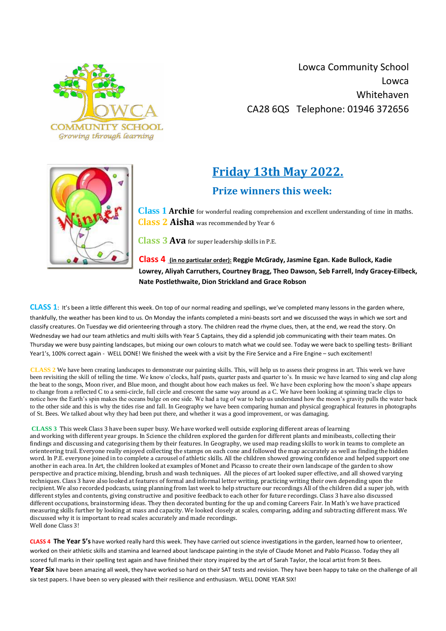

 Lowca Community School Lowca Whitehaven CA28 6QS Telephone: 01946 372656



## **Friday 13th May 2022. Prize winners this week:**

**Class 1 Archie** for wonderful reading comprehension and excellent understanding of time in maths. **Class 2 Aisha** was recommended by Year 6

**Class 3 Ava** for super leadership skills in P.E.

**Class 4 (in no particular order): Reggie McGrady, Jasmine Egan. Kade Bullock, Kadie Lowrey, Aliyah Carruthers, Courtney Bragg, Theo Dawson, Seb Farrell, Indy Gracey-Eilbeck, Nate Postlethwaite, Dion Strickland and Grace Robson** 

**CLASS 1**: It's been a little different this week. On top of our normal reading and spellings, we've completed many lessons in the garden where, thankfully, the weather has been kind to us. On Monday the infants completed a mini-beasts sort and we discussed the ways in which we sort and classify creatures. On Tuesday we did orienteering through a story. The children read the rhyme clues, then, at the end, we read the story. On Wednesday we had our team athletics and multi skills with Year 5 Captains, they did a splendid job communicating with their team mates. On Thursday we were busy painting landscapes, but mixing our own colours to match what we could see. Today we were back to spelling tests- Brilliant Year1's, 100% correct again - WELL DONE! We finished the week with a visit by the Fire Service and a Fire Engine – such excitement!

 **CLASS 2** We have been creating landscapes to demonstrate our painting skills. This, will help us to assess their progress in art. This week we have been revisiting the skill of telling the time. We know o'clocks, half pasts, quarter pasts and quarter to's. In music we have learned to sing and clap along the beat to the songs, Moon river, and Blue moon, and thought about how each makes us feel. We have been exploring how the moon's shape appears to change from a reflected C to a semi-circle, full circle and crescent the same way around as a C. We have been looking at spinning tracle clips to notice how the Earth's spin makes the oceans bulge on one side. We had a tug of war to help us understand how the moon's gravity pulls the water back to the other side and this is why the tides rise and fall. In Geography we have been comparing human and physical geographical features in photographs of St. Bees. We talked about why they had been put there, and whether it was a good improvement, or was damaging.

**Year Six** have been amazing all week, they have worked so hard on their SAT tests and revision. They have been happy to take on the challenge of all six test papers. I have been so very pleased with their resilience and enthusiasm. WELL DONE YEAR SIX!

**CLASS 3** This week Class 3 have been super busy. We have worked well outside exploring different areas of learning and working with different year groups. In Science the children explored the garden for different plants and minibeasts, collecting their findings and discussing and categorising them by their features. In Geography, we used map reading skills to work in teams to complete an orienteering trail. Everyone really enjoyed collecting the stamps on each cone and followed the map accurately as well as finding the hidden word. In P.E. everyone joined in to complete a carousel of athletic skills. All the children showed growing confidence and helped support one another in each area. In Art, the children looked at examples of Monet and Picasso to create their own landscape of the garden to show perspective and practice mixing, blending, brush and wash techniques. All the pieces of art looked super effective, and all showed varying techniques. Class 3 have also looked at features of formal and informal letter writing, practicing writing their own depending upon the recipient. We also recorded podcasts, using planning from last week to help structure our recordings All of the children did a super job, with different styles and contents, giving constructive and positive feedback to each other for future recordings. Class 3 have also discussed different occupations, brainstorming ideas. They then decorated bunting for the up and coming Careers Fair. In Math's we have practiced measuring skills further by looking at mass and capacity. We looked closely at scales, comparing, adding and subtracting different mass. We discussed why it is important to read scales accurately and made recordings. Well done Class 3!

**CLASS 4 The Year 5's** have worked really hard this week. They have carried out science investigations in the garden, learned how to orienteer, worked on their athletic skills and stamina and learned about landscape painting in the style of Claude Monet and Pablo Picasso. Today they all scored full marks in their spelling test again and have finished their story inspired by the art of Sarah Taylor, the local artist from St Bees.